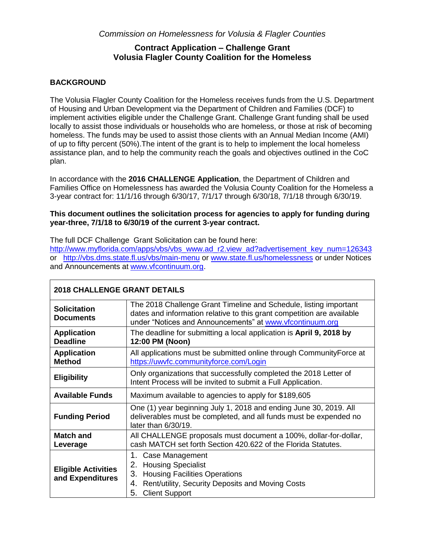*Commission on Homelessness for Volusia & Flagler Counties* 

### **Contract Application – Challenge Grant Volusia Flagler County Coalition for the Homeless**

### **BACKGROUND**

The Volusia Flagler County Coalition for the Homeless receives funds from the U.S. Department of Housing and Urban Development via the Department of Children and Families (DCF) to implement activities eligible under the Challenge Grant. Challenge Grant funding shall be used locally to assist those individuals or households who are homeless, or those at risk of becoming homeless. The funds may be used to assist those clients with an Annual Median Income (AMI) of up to fifty percent (50%).The intent of the grant is to help to implement the local homeless assistance plan, and to help the community reach the goals and objectives outlined in the CoC plan.

In accordance with the **2016 CHALLENGE Application**, the Department of Children and Families Office on Homelessness has awarded the Volusia County Coalition for the Homeless a 3-year contract for: 11/1/16 through 6/30/17, 7/1/17 through 6/30/18, 7/1/18 through 6/30/19.

### **This document outlines the solicitation process for agencies to apply for funding during year-three, 7/1/18 to 6/30/19 of the current 3-year contract.**

The full DCF Challenge Grant Solicitation can be found here:

[http://www.myflorida.com/apps/vbs/vbs\\_www.ad\\_r2.view\\_ad?advertisement\\_key\\_num=126343](http://www.myflorida.com/apps/vbs/vbs_www.ad_r2.view_ad?advertisement_key_num=126343) or <http://vbs.dms.state.fl.us/vbs/main-menu> or [www.state.fl.us/homelessness](http://www.state.fl.us/homelessness) or under Notices and Announcements at [www.vfcontinuum.org.](http://www.vfcontinuum.org/)

| <b>2018 CHALLENGE GRANT DETAILS</b>            |                                                                                                                                                                                                         |  |  |
|------------------------------------------------|---------------------------------------------------------------------------------------------------------------------------------------------------------------------------------------------------------|--|--|
| <b>Solicitation</b><br><b>Documents</b>        | The 2018 Challenge Grant Timeline and Schedule, listing important<br>dates and information relative to this grant competition are available<br>under "Notices and Announcements" at www.vfcontinuum.org |  |  |
| <b>Application</b><br><b>Deadline</b>          | The deadline for submitting a local application is April 9, 2018 by<br>12:00 PM (Noon)                                                                                                                  |  |  |
| <b>Application</b><br><b>Method</b>            | All applications must be submitted online through Community Force at<br>https://uwvfc.communityforce.com/Login                                                                                          |  |  |
| <b>Eligibility</b>                             | Only organizations that successfully completed the 2018 Letter of<br>Intent Process will be invited to submit a Full Application.                                                                       |  |  |
| <b>Available Funds</b>                         | Maximum available to agencies to apply for \$189,605                                                                                                                                                    |  |  |
| <b>Funding Period</b>                          | One (1) year beginning July 1, 2018 and ending June 30, 2019. All<br>deliverables must be completed, and all funds must be expended no<br>later than 6/30/19.                                           |  |  |
| Match and<br>Leverage                          | All CHALLENGE proposals must document a 100%, dollar-for-dollar,<br>cash MATCH set forth Section 420.622 of the Florida Statutes.                                                                       |  |  |
| <b>Eligible Activities</b><br>and Expenditures | 1. Case Management<br>2. Housing Specialist<br>3. Housing Facilities Operations<br>4. Rent/utility, Security Deposits and Moving Costs<br><b>Client Support</b><br>5.                                   |  |  |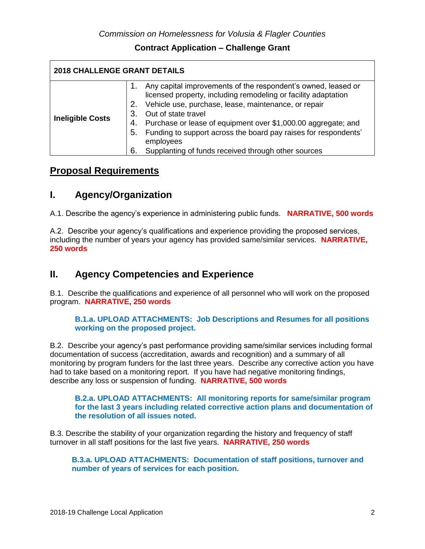| <b>2018 CHALLENGE GRANT DETAILS</b> |                      |                                                                                                                                                                                                                                                                                                                                                                                                                           |  |
|-------------------------------------|----------------------|---------------------------------------------------------------------------------------------------------------------------------------------------------------------------------------------------------------------------------------------------------------------------------------------------------------------------------------------------------------------------------------------------------------------------|--|
| <b>Ineligible Costs</b>             | 3.<br>4.<br>5.<br>6. | Any capital improvements of the respondent's owned, leased or<br>licensed property, including remodeling or facility adaptation<br>2. Vehicle use, purchase, lease, maintenance, or repair<br>Out of state travel<br>Purchase or lease of equipment over \$1,000.00 aggregate; and<br>Funding to support across the board pay raises for respondents'<br>employees<br>Supplanting of funds received through other sources |  |

## **Proposal Requirements**

## **I. Agency/Organization**

A.1. Describe the agency's experience in administering public funds. **NARRATIVE, 500 words**

A.2. Describe your agency's qualifications and experience providing the proposed services, including the number of years your agency has provided same/similar services. **NARRATIVE, 250 words**

## **II. Agency Competencies and Experience**

B.1. Describe the qualifications and experience of all personnel who will work on the proposed program. **NARRATIVE, 250 words** 

### **B.1.a. UPLOAD ATTACHMENTS: Job Descriptions and Resumes for all positions working on the proposed project.**

B.2. Describe your agency's past performance providing same/similar services including formal documentation of success (accreditation, awards and recognition) and a summary of all monitoring by program funders for the last three years. Describe any corrective action you have had to take based on a monitoring report. If you have had negative monitoring findings, describe any loss or suspension of funding. **NARRATIVE, 500 words** 

**B.2.a. UPLOAD ATTACHMENTS: All monitoring reports for same/similar program for the last 3 years including related corrective action plans and documentation of the resolution of all issues noted.**

B.3. Describe the stability of your organization regarding the history and frequency of staff turnover in all staff positions for the last five years. **NARRATIVE, 250 words** 

**B.3.a. UPLOAD ATTACHMENTS: Documentation of staff positions, turnover and number of years of services for each position.**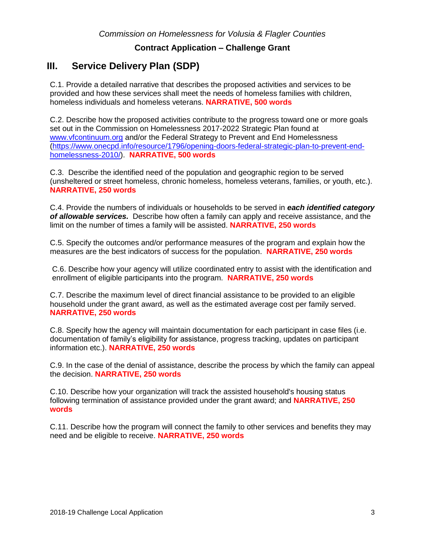# **III. Service Delivery Plan (SDP)**

C.1. Provide a detailed narrative that describes the proposed activities and services to be provided and how these services shall meet the needs of homeless families with children, homeless individuals and homeless veterans. **NARRATIVE, 500 words** 

C.2. Describe how the proposed activities contribute to the progress toward one or more goals set out in the Commission on Homelessness 2017-2022 Strategic Plan found at [www.vfcontinuum.org](http://www.vfcontinuum.org/) and/or the Federal Strategy to Prevent and End Homelessness [\(https://www.onecpd.info/resource/1796/opening-doors-federal-strategic-plan-to-prevent-end](https://www.onecpd.info/resource/1796/opening-doors-federal-strategic-plan-to-prevent-end-homelessness-2010/)[homelessness-2010/\)](https://www.onecpd.info/resource/1796/opening-doors-federal-strategic-plan-to-prevent-end-homelessness-2010/). **NARRATIVE, 500 words** 

C.3. Describe the identified need of the population and geographic region to be served (unsheltered or street homeless, chronic homeless, homeless veterans, families, or youth, etc.). **NARRATIVE, 250 words** 

C.4. Provide the numbers of individuals or households to be served in *each identified category of allowable services.* Describe how often a family can apply and receive assistance, and the limit on the number of times a family will be assisted. **NARRATIVE, 250 words** 

C.5. Specify the outcomes and/or performance measures of the program and explain how the measures are the best indicators of success for the population. **NARRATIVE, 250 words** 

C.6. Describe how your agency will utilize coordinated entry to assist with the identification and enrollment of eligible participants into the program. **NARRATIVE, 250 words** 

C.7. Describe the maximum level of direct financial assistance to be provided to an eligible household under the grant award, as well as the estimated average cost per family served. **NARRATIVE, 250 words** 

C.8. Specify how the agency will maintain documentation for each participant in case files (i.e. documentation of family's eligibility for assistance, progress tracking, updates on participant information etc.). **NARRATIVE, 250 words** 

C.9. In the case of the denial of assistance, describe the process by which the family can appeal the decision. **NARRATIVE, 250 words** 

C.10. Describe how your organization will track the assisted household's housing status following termination of assistance provided under the grant award; and **NARRATIVE, 250 words** 

C.11. Describe how the program will connect the family to other services and benefits they may need and be eligible to receive. **NARRATIVE, 250 words**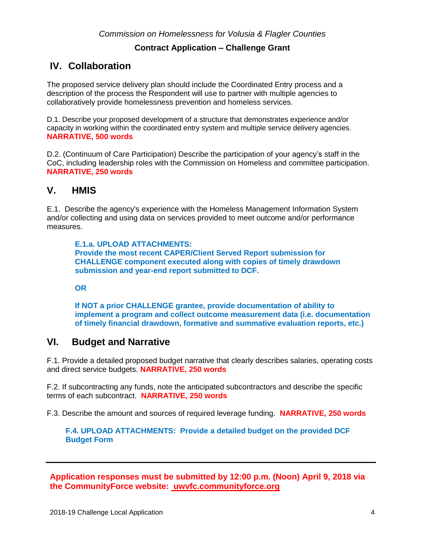# **IV. Collaboration**

The proposed service delivery plan should include the Coordinated Entry process and a description of the process the Respondent will use to partner with multiple agencies to collaboratively provide homelessness prevention and homeless services.

D.1. Describe your proposed development of a structure that demonstrates experience and/or capacity in working within the coordinated entry system and multiple service delivery agencies. **NARRATIVE, 500 words**

D.2. (Continuum of Care Participation) Describe the participation of your agency's staff in the CoC, including leadership roles with the Commission on Homeless and committee participation. **NARRATIVE, 250 words**

### **V. HMIS**

E.1. Describe the agency's experience with the Homeless Management Information System and/or collecting and using data on services provided to meet outcome and/or performance measures.

**E.1.a. UPLOAD ATTACHMENTS: Provide the most recent CAPER/Client Served Report submission for CHALLENGE component executed along with copies of timely drawdown submission and year-end report submitted to DCF.** 

**OR** 

**If NOT a prior CHALLENGE grantee, provide documentation of ability to implement a program and collect outcome measurement data (i.e. documentation of timely financial drawdown, formative and summative evaluation reports, etc.)**

## **VI. Budget and Narrative**

F.1. Provide a detailed proposed budget narrative that clearly describes salaries, operating costs and direct service budgets. **NARRATIVE, 250 words**

F.2. If subcontracting any funds, note the anticipated subcontractors and describe the specific terms of each subcontract. **NARRATIVE, 250 words**

F.3. Describe the amount and sources of required leverage funding. **NARRATIVE, 250 words**

**F.4. UPLOAD ATTACHMENTS: Provide a detailed budget on the provided DCF Budget Form**

**Application responses must be submitted by 12:00 p.m. (Noon) April 9, 2018 via the CommunityForce website: uwvfc.communityforce.org**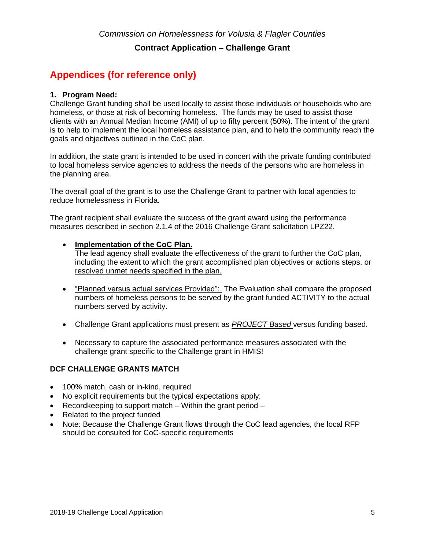# **Appendices (for reference only)**

### **1. Program Need:**

Challenge Grant funding shall be used locally to assist those individuals or households who are homeless, or those at risk of becoming homeless. The funds may be used to assist those clients with an Annual Median Income (AMI) of up to fifty percent (50%). The intent of the grant is to help to implement the local homeless assistance plan, and to help the community reach the goals and objectives outlined in the CoC plan.

In addition, the state grant is intended to be used in concert with the private funding contributed to local homeless service agencies to address the needs of the persons who are homeless in the planning area.

The overall goal of the grant is to use the Challenge Grant to partner with local agencies to reduce homelessness in Florida.

The grant recipient shall evaluate the success of the grant award using the performance measures described in section 2.1.4 of the 2016 Challenge Grant solicitation LPZ22.

### • **Implementation of the CoC Plan.**

The lead agency shall evaluate the effectiveness of the grant to further the CoC plan, including the extent to which the grant accomplished plan objectives or actions steps, or resolved unmet needs specified in the plan.

- "Planned versus actual services Provided": The Evaluation shall compare the proposed numbers of homeless persons to be served by the grant funded ACTIVITY to the actual numbers served by activity.
- Challenge Grant applications must present as *PROJECT Based* versus funding based.
- Necessary to capture the associated performance measures associated with the challenge grant specific to the Challenge grant in HMIS!

### **DCF CHALLENGE GRANTS MATCH**

- 100% match, cash or in-kind, required
- No explicit requirements but the typical expectations apply:
- Record keeping to support match  $-$  Within the grant period  $-$
- Related to the project funded
- Note: Because the Challenge Grant flows through the CoC lead agencies, the local RFP should be consulted for CoC-specific requirements